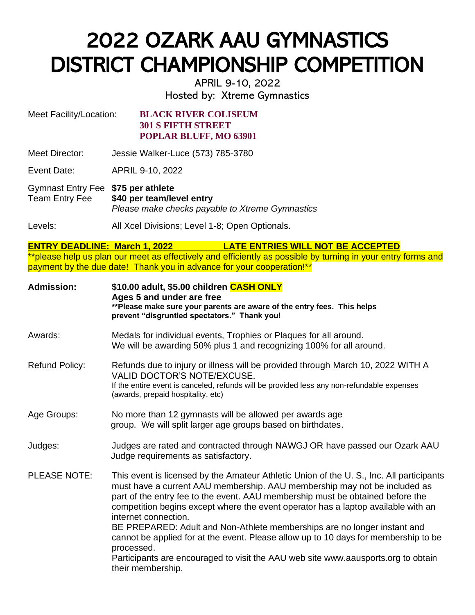## 2022 OZARK AAU GYMNASTICS DISTRICT CHAMPIONSHIP COMPETITION

APRIL 9-10, 2022 Hosted by: Xtreme Gymnastics

Meet Facility/Location: **BLACK RIVER COLISEUM 301 S FIFTH STREET POPLAR BLUFF, MO 63901**

Meet Director: Jessie Walker-Luce (573) 785-3780

Event Date: APRIL 9-10, 2022

Gymnast Entry Fee **\$75 per athlete** Team Entry Fee **\$40 per team/level entry** *Please make checks payable to Xtreme Gymnastics*

Levels: All Xcel Divisions; Level 1-8; Open Optionals.

**ENTRY DEADLINE: March 1, 2022 LATE ENTRIES WILL NOT BE ACCEPTED** \*\*please help us plan our meet as effectively and efficiently as possible by turning in your entry forms and payment by the due date! Thank you in advance for your cooperation!\*\*

| <b>Admission:</b>     | \$10.00 adult, \$5.00 children CASH ONLY<br>Ages 5 and under are free<br>**Please make sure your parents are aware of the entry fees. This helps<br>prevent "disgruntled spectators." Thank you!                                                                                                                                                                                                                                                                                                                                                                                                                                                               |
|-----------------------|----------------------------------------------------------------------------------------------------------------------------------------------------------------------------------------------------------------------------------------------------------------------------------------------------------------------------------------------------------------------------------------------------------------------------------------------------------------------------------------------------------------------------------------------------------------------------------------------------------------------------------------------------------------|
| Awards:               | Medals for individual events, Trophies or Plaques for all around.<br>We will be awarding 50% plus 1 and recognizing 100% for all around.                                                                                                                                                                                                                                                                                                                                                                                                                                                                                                                       |
| <b>Refund Policy:</b> | Refunds due to injury or illness will be provided through March 10, 2022 WITH A<br><b>VALID DOCTOR'S NOTE/EXCUSE.</b><br>If the entire event is canceled, refunds will be provided less any non-refundable expenses<br>(awards, prepaid hospitality, etc)                                                                                                                                                                                                                                                                                                                                                                                                      |
| Age Groups:           | No more than 12 gymnasts will be allowed per awards age<br>group. We will split larger age groups based on birthdates.                                                                                                                                                                                                                                                                                                                                                                                                                                                                                                                                         |
| Judges:               | Judges are rated and contracted through NAWGJ OR have passed our Ozark AAU<br>Judge requirements as satisfactory.                                                                                                                                                                                                                                                                                                                                                                                                                                                                                                                                              |
| PLEASE NOTE:          | This event is licensed by the Amateur Athletic Union of the U.S., Inc. All participants<br>must have a current AAU membership. AAU membership may not be included as<br>part of the entry fee to the event. AAU membership must be obtained before the<br>competition begins except where the event operator has a laptop available with an<br>internet connection.<br>BE PREPARED: Adult and Non-Athlete memberships are no longer instant and<br>cannot be applied for at the event. Please allow up to 10 days for membership to be<br>processed.<br>Participants are encouraged to visit the AAU web site www.aausports.org to obtain<br>their membership. |